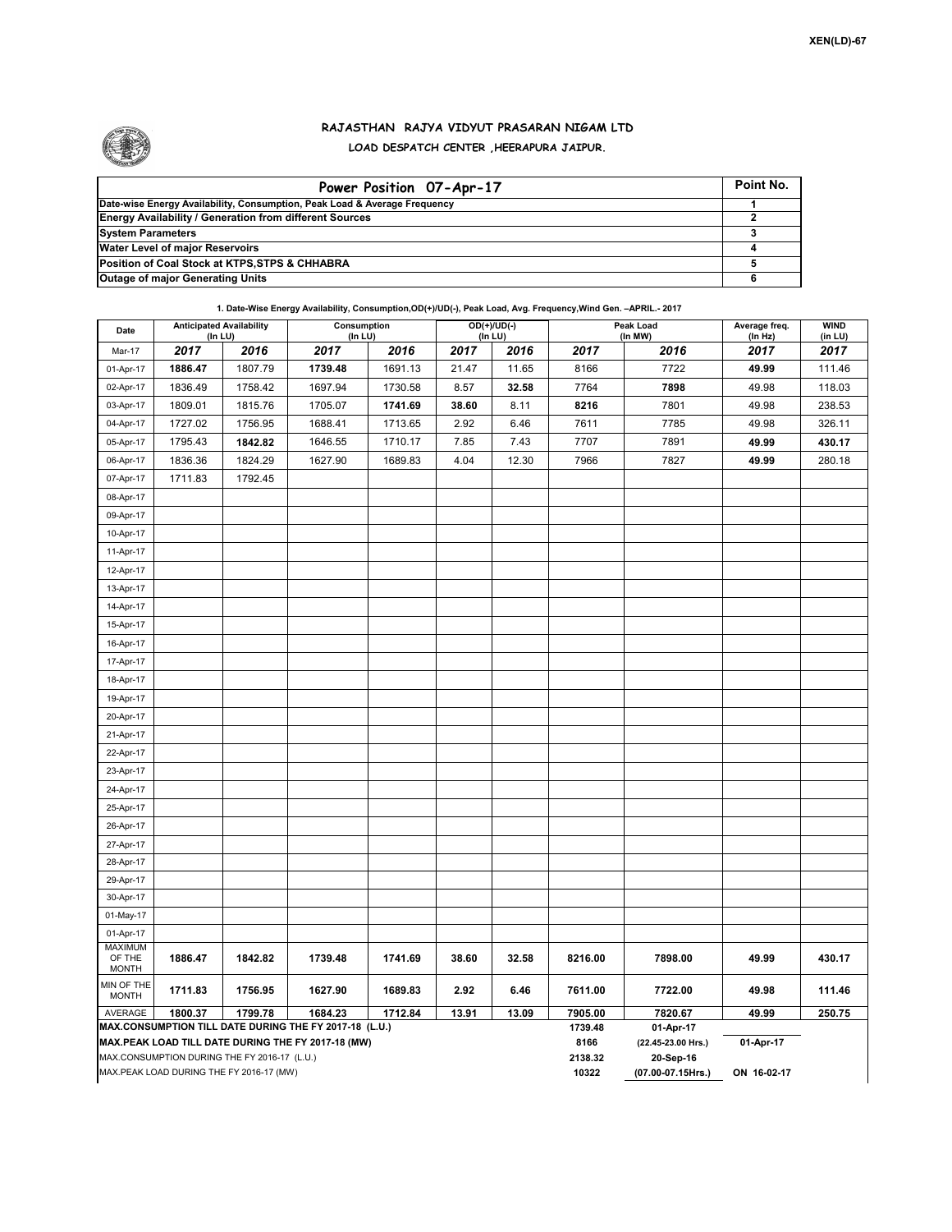

## **RAJASTHAN RAJYA VIDYUT PRASARAN NIGAM LTD LOAD DESPATCH CENTER ,HEERAPURA JAIPUR.**

| Power Position 07-Apr-17                                                  | Point No. |
|---------------------------------------------------------------------------|-----------|
| Date-wise Energy Availability, Consumption, Peak Load & Average Frequency |           |
| <b>Energy Availability / Generation from different Sources</b>            |           |
| <b>System Parameters</b>                                                  |           |
| <b>Water Level of major Reservoirs</b>                                    |           |
| Position of Coal Stock at KTPS, STPS & CHHABRA                            |           |
| <b>Outage of major Generating Units</b>                                   |           |

**1. Date-Wise Energy Availability, Consumption,OD(+)/UD(-), Peak Load, Avg. Frequency,Wind Gen. –APRIL.- 2017**

| Date                        | <b>Anticipated Availability</b><br>(In LU)   |         | Consumption<br>$($ In LU $)$                                                                                 |                 | OD(+)/UD(-)<br>(In LU)          |             | Peak Load<br>(In MW) |         | Average freq.<br>(In Hz) | <b>WIND</b><br>(in LU) |
|-----------------------------|----------------------------------------------|---------|--------------------------------------------------------------------------------------------------------------|-----------------|---------------------------------|-------------|----------------------|---------|--------------------------|------------------------|
| Mar-17                      | 2017                                         | 2016    | 2017                                                                                                         | 2016            | 2017                            | 2016        | 2017                 | 2016    | 2017                     | 2017                   |
| 01-Apr-17                   | 1886.47                                      | 1807.79 | 1739.48                                                                                                      | 1691.13         | 21.47                           | 11.65       | 8166                 | 7722    | 49.99                    | 111.46                 |
| 02-Apr-17                   | 1836.49                                      | 1758.42 | 1697.94                                                                                                      | 1730.58         | 8.57                            | 32.58       | 7764                 | 7898    | 49.98                    | 118.03                 |
| 03-Apr-17                   | 1809.01                                      | 1815.76 | 1705.07                                                                                                      | 1741.69         | 38.60                           | 8.11        | 8216                 | 7801    | 49.98                    | 238.53                 |
| 04-Apr-17                   | 1727.02                                      | 1756.95 | 1688.41                                                                                                      | 1713.65         | 2.92                            | 6.46        | 7611                 | 7785    | 49.98                    | 326.11                 |
| 05-Apr-17                   | 1795.43                                      | 1842.82 | 1646.55                                                                                                      | 1710.17         | 7.85                            | 7.43        | 7707                 | 7891    | 49.99                    | 430.17                 |
| 06-Apr-17                   | 1836.36                                      | 1824.29 | 1627.90                                                                                                      | 1689.83         | 4.04                            | 12.30       | 7966                 | 7827    | 49.99                    | 280.18                 |
| 07-Apr-17                   | 1711.83                                      | 1792.45 |                                                                                                              |                 |                                 |             |                      |         |                          |                        |
| 08-Apr-17                   |                                              |         |                                                                                                              |                 |                                 |             |                      |         |                          |                        |
| 09-Apr-17                   |                                              |         |                                                                                                              |                 |                                 |             |                      |         |                          |                        |
| 10-Apr-17                   |                                              |         |                                                                                                              |                 |                                 |             |                      |         |                          |                        |
| 11-Apr-17                   |                                              |         |                                                                                                              |                 |                                 |             |                      |         |                          |                        |
| 12-Apr-17                   |                                              |         |                                                                                                              |                 |                                 |             |                      |         |                          |                        |
| 13-Apr-17                   |                                              |         |                                                                                                              |                 |                                 |             |                      |         |                          |                        |
| 14-Apr-17                   |                                              |         |                                                                                                              |                 |                                 |             |                      |         |                          |                        |
| 15-Apr-17                   |                                              |         |                                                                                                              |                 |                                 |             |                      |         |                          |                        |
| 16-Apr-17                   |                                              |         |                                                                                                              |                 |                                 |             |                      |         |                          |                        |
| 17-Apr-17                   |                                              |         |                                                                                                              |                 |                                 |             |                      |         |                          |                        |
| 18-Apr-17                   |                                              |         |                                                                                                              |                 |                                 |             |                      |         |                          |                        |
| 19-Apr-17                   |                                              |         |                                                                                                              |                 |                                 |             |                      |         |                          |                        |
| 20-Apr-17                   |                                              |         |                                                                                                              |                 |                                 |             |                      |         |                          |                        |
| 21-Apr-17                   |                                              |         |                                                                                                              |                 |                                 |             |                      |         |                          |                        |
| 22-Apr-17                   |                                              |         |                                                                                                              |                 |                                 |             |                      |         |                          |                        |
| 23-Apr-17                   |                                              |         |                                                                                                              |                 |                                 |             |                      |         |                          |                        |
| 24-Apr-17                   |                                              |         |                                                                                                              |                 |                                 |             |                      |         |                          |                        |
| 25-Apr-17                   |                                              |         |                                                                                                              |                 |                                 |             |                      |         |                          |                        |
| 26-Apr-17                   |                                              |         |                                                                                                              |                 |                                 |             |                      |         |                          |                        |
| 27-Apr-17                   |                                              |         |                                                                                                              |                 |                                 |             |                      |         |                          |                        |
| 28-Apr-17                   |                                              |         |                                                                                                              |                 |                                 |             |                      |         |                          |                        |
| 29-Apr-17                   |                                              |         |                                                                                                              |                 |                                 |             |                      |         |                          |                        |
| 30-Apr-17                   |                                              |         |                                                                                                              |                 |                                 |             |                      |         |                          |                        |
| 01-May-17                   |                                              |         |                                                                                                              |                 |                                 |             |                      |         |                          |                        |
| 01-Apr-17<br><b>MAXIMUM</b> |                                              |         |                                                                                                              |                 |                                 |             |                      |         |                          |                        |
| OF THE<br><b>MONTH</b>      | 1886.47                                      | 1842.82 | 1739.48                                                                                                      | 1741.69         | 38.60                           | 32.58       | 8216.00              | 7898.00 | 49.99                    | 430.17                 |
| MIN OF THE<br><b>MONTH</b>  | 1711.83                                      | 1756.95 | 1627.90                                                                                                      | 1689.83         | 2.92                            | 6.46        | 7611.00              | 7722.00 | 49.98                    | 111.46                 |
| AVERAGE                     | 1800.37                                      | 1799.78 | 1684.23                                                                                                      | 1712.84         | 13.91                           | 13.09       | 7905.00              | 7820.67 | 49.99                    | 250.75                 |
|                             |                                              |         | MAX.CONSUMPTION TILL DATE DURING THE FY 2017-18 (L.U.)<br>MAX.PEAK LOAD TILL DATE DURING THE FY 2017-18 (MW) | 1739.48<br>8166 | 01-Apr-17<br>(22.45-23.00 Hrs.) | 01-Apr-17   |                      |         |                          |                        |
|                             | MAX.CONSUMPTION DURING THE FY 2016-17 (L.U.) |         |                                                                                                              | 2138.32         | 20-Sep-16                       |             |                      |         |                          |                        |
|                             | MAX.PEAK LOAD DURING THE FY 2016-17 (MW)     |         |                                                                                                              | 10322           | (07.00-07.15Hrs.)               | ON 16-02-17 |                      |         |                          |                        |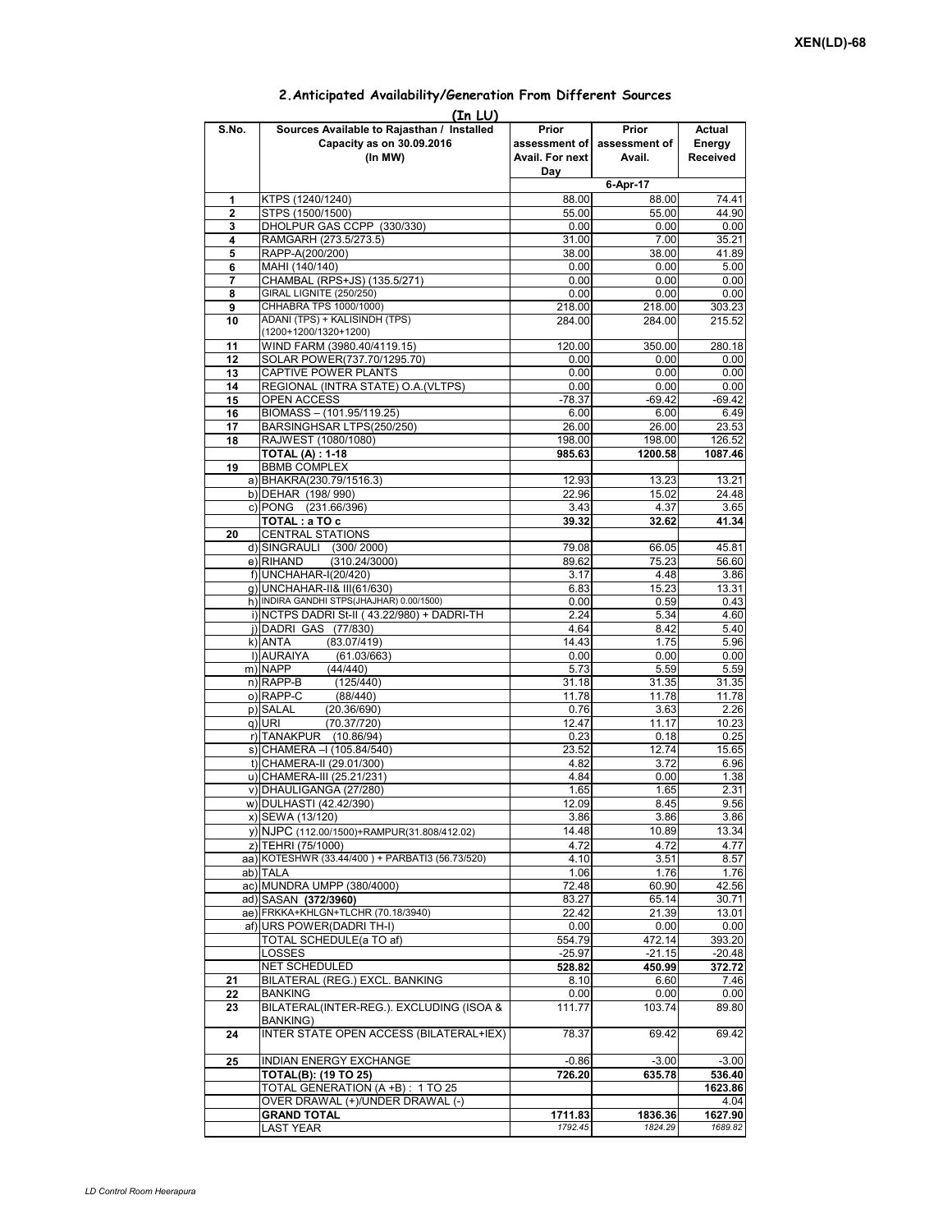| (In LU)      |                                                                                    |                          |                                                |                              |  |  |  |  |  |  |
|--------------|------------------------------------------------------------------------------------|--------------------------|------------------------------------------------|------------------------------|--|--|--|--|--|--|
| S.No.        | Sources Available to Rajasthan / Installed<br>Capacity as on 30.09.2016<br>(In MW) | Prior<br>Avail. For next | Prior<br>assessment of assessment of<br>Avail. | Actual<br>Energy<br>Received |  |  |  |  |  |  |
|              |                                                                                    | Day                      | 6-Apr-17                                       |                              |  |  |  |  |  |  |
| 1            | KTPS (1240/1240)                                                                   | 88.00                    | 88.00                                          | 74.41                        |  |  |  |  |  |  |
| $\mathbf{2}$ | STPS (1500/1500)                                                                   | 55.00                    | 55.00                                          | 44.90                        |  |  |  |  |  |  |
| 3            | DHOLPUR GAS CCPP (330/330)                                                         | 0.00                     | 0.00                                           | 0.00                         |  |  |  |  |  |  |
| 4            | RAMGARH (273.5/273.5)                                                              | 31.00                    | 7.00                                           | 35.21                        |  |  |  |  |  |  |
| 5            | RAPP-A(200/200)                                                                    | 38.00                    | 38.00                                          | 41.89                        |  |  |  |  |  |  |
| 6<br>7       | MAHI (140/140)<br>CHAMBAL (RPS+JS) (135.5/271)                                     | 0.00<br>0.00             | 0.00<br>0.00                                   | 5.00<br>0.00                 |  |  |  |  |  |  |
| 8            | GIRAL LIGNITE (250/250)                                                            | 0.00                     | 0.00                                           | 0.00                         |  |  |  |  |  |  |
| 9            | CHHABRA TPS 1000/1000)                                                             | 218.00                   | 218.00                                         | 303.23                       |  |  |  |  |  |  |
| 10           | ADANI (TPS) + KALISINDH (TPS)                                                      | 284.00                   | 284.00                                         | 215.52                       |  |  |  |  |  |  |
|              | (1200+1200/1320+1200)                                                              |                          |                                                |                              |  |  |  |  |  |  |
| 11           | WIND FARM (3980.40/4119.15)                                                        | 120.00                   | 350.00                                         | 280.18<br>0.00               |  |  |  |  |  |  |
| 12<br>13     | SOLAR POWER(737.70/1295.70)<br>CAPTIVE POWER PLANTS                                | 0.00<br>0.00             | 0.00<br>0.00                                   | 0.00                         |  |  |  |  |  |  |
| 14           | REGIONAL (INTRA STATE) O.A. (VLTPS)                                                | 0.00                     | 0.00                                           | 0.00                         |  |  |  |  |  |  |
| 15           | OPEN ACCESS                                                                        | $-78.37$                 | $-69.42$                                       | $-69.42$                     |  |  |  |  |  |  |
| 16           | BIOMASS - (101.95/119.25)                                                          | 6.00                     | 6.00                                           | 6.49                         |  |  |  |  |  |  |
| 17           | BARSINGHSAR LTPS(250/250)                                                          | 26.00                    | 26.00                                          | 23.53                        |  |  |  |  |  |  |
| 18           | RAJWEST (1080/1080)                                                                | 198.00                   | 198.00                                         | 126.52                       |  |  |  |  |  |  |
| 19           | <b>TOTAL (A): 1-18</b><br><b>BBMB COMPLEX</b>                                      | 985.63                   | 1200.58                                        | 1087.46                      |  |  |  |  |  |  |
|              | a) BHAKRA(230.79/1516.3)                                                           | 12.93                    | 13.23                                          | 13.21                        |  |  |  |  |  |  |
|              | b) DEHAR (198/990)                                                                 | 22.96                    | 15.02                                          | 24.48                        |  |  |  |  |  |  |
|              | c) PONG (231.66/396)                                                               | 3.43                     | 4.37                                           | 3.65                         |  |  |  |  |  |  |
|              | TOTAL : a TO c                                                                     | 39.32                    | 32.62                                          | 41.34                        |  |  |  |  |  |  |
| 20           | <b>CENTRAL STATIONS</b>                                                            |                          |                                                |                              |  |  |  |  |  |  |
|              | d) SINGRAULI (300/2000)                                                            | 79.08                    | 66.05                                          | 45.81                        |  |  |  |  |  |  |
|              | e) RIHAND<br>(310.24/3000)<br>f) UNCHAHAR-I(20/420)                                | 89.62<br>3.17            | 75.23<br>4.48                                  | 56.60<br>3.86                |  |  |  |  |  |  |
|              | g) UNCHAHAR-II& III(61/630)                                                        | 6.83                     | 15.23                                          | 13.31                        |  |  |  |  |  |  |
|              | h) INDIRA GANDHI STPS(JHAJHAR) 0.00/1500)                                          | 0.00                     | 0.59                                           | 0.43                         |  |  |  |  |  |  |
|              | i) NCTPS DADRI St-II (43.22/980) + DADRI-TH                                        | 2.24                     | 5.34                                           | 4.60                         |  |  |  |  |  |  |
|              | j) DADRI GAS (77/830)                                                              | 4.64                     | 8.42                                           | 5.40                         |  |  |  |  |  |  |
|              | k) ANTA<br>(83.07/419)                                                             | 14.43                    | 1.75                                           | 5.96                         |  |  |  |  |  |  |
|              | I) AURAIYA<br>(61.03/663)<br>m) NAPP<br>(44/440)                                   | 0.00<br>5.73             | 0.00<br>5.59                                   | 0.00<br>5.59                 |  |  |  |  |  |  |
|              | n) RAPP-B<br>(125/440)                                                             | 31.18                    | 31.35                                          | 31.35                        |  |  |  |  |  |  |
|              | o) RAPP-C<br>(88/440)                                                              | 11.78                    | 11.78                                          | 11.78                        |  |  |  |  |  |  |
|              | p) SALAL<br>(20.36/690)                                                            | 0.76                     | 3.63                                           | 2.26                         |  |  |  |  |  |  |
|              | (70.37/720)<br>$q)$ URI                                                            | 12.47                    | 11.17                                          | 10.23                        |  |  |  |  |  |  |
|              | r) TANAKPUR (10.86/94)                                                             | 0.23                     | 0.18                                           | 0.25                         |  |  |  |  |  |  |
|              | s) CHAMERA - (105.84/540)<br>t) CHAMERA-II (29.01/300)                             | 23.52<br>4.82            | 12.74<br>3.72                                  | 15.65<br>6.96                |  |  |  |  |  |  |
|              | u) CHAMERA-III (25.21/231)                                                         | 4.84                     | 0.00                                           | 1.38                         |  |  |  |  |  |  |
|              | v) DHAULIGANGA (27/280)                                                            | 1.65                     | 1.65                                           | 2.31                         |  |  |  |  |  |  |
|              | W) DULHASTI (42.42/390)                                                            | 12.09                    | 8.45                                           | 9.56                         |  |  |  |  |  |  |
|              | x) SEWA (13/120)                                                                   | 3.86                     | 3.86                                           | 3.86                         |  |  |  |  |  |  |
|              | y) NJPC (112.00/1500)+RAMPUR(31.808/412.02)                                        | 14.48                    | 10.89                                          | 13.34                        |  |  |  |  |  |  |
|              | z) TEHRI (75/1000)                                                                 | 4.72                     | 4.72                                           | 4.77                         |  |  |  |  |  |  |
|              | aa) KOTESHWR (33.44/400) + PARBATI3 (56.73/520)                                    | 4.10                     | 3.51                                           | 8.57                         |  |  |  |  |  |  |
|              | ab) TALA<br>ac) MUNDRA UMPP (380/4000)                                             | 1.06<br>72.48            | 1.76<br>60.90                                  | 1.76<br>42.56                |  |  |  |  |  |  |
|              | ad) SASAN (372/3960)                                                               | 83.27                    | 65.14                                          | 30.71                        |  |  |  |  |  |  |
|              | ae) FRKKA+KHLGN+TLCHR (70.18/3940)                                                 | 22.42                    | 21.39                                          | 13.01                        |  |  |  |  |  |  |
|              | af) URS POWER(DADRI TH-I)                                                          | 0.00                     | 0.00                                           | 0.00                         |  |  |  |  |  |  |
|              | TOTAL SCHEDULE(a TO af)                                                            | 554.79                   | 472.14                                         | 393.20                       |  |  |  |  |  |  |
|              | LOSSES                                                                             | $-25.97$                 | $-21.15$                                       | $-20.48$                     |  |  |  |  |  |  |
| 21           | NET SCHEDULED<br>BILATERAL (REG.) EXCL. BANKING                                    | 528.82<br>8.10           | 450.99<br>6.60                                 | 372.72<br>7.46               |  |  |  |  |  |  |
| 22           | <b>BANKING</b>                                                                     | 0.00                     | 0.00                                           | 0.00                         |  |  |  |  |  |  |
| 23           | BILATERAL(INTER-REG.). EXCLUDING (ISOA &                                           | 111.77                   | 103.74                                         | 89.80                        |  |  |  |  |  |  |
| 24           | <b>BANKING</b> )<br>INTER STATE OPEN ACCESS (BILATERAL+IEX)                        | 78.37                    | 69.42                                          | 69.42                        |  |  |  |  |  |  |
| 25           |                                                                                    |                          | $-3.00$                                        |                              |  |  |  |  |  |  |
|              | INDIAN ENERGY EXCHANGE<br><b>TOTAL(B): (19 TO 25)</b>                              | $-0.86$<br>726.20        | 635.78                                         | $-3.00$<br>536.40            |  |  |  |  |  |  |
|              | TOTAL GENERATION (A +B) : 1 TO 25                                                  |                          |                                                | 1623.86                      |  |  |  |  |  |  |
|              | OVER DRAWAL (+)/UNDER DRAWAL (-)                                                   |                          |                                                | 4.04                         |  |  |  |  |  |  |
|              | <b>GRAND TOTAL</b>                                                                 | 1711.83                  | 1836.36                                        | 1627.90                      |  |  |  |  |  |  |
|              | LAST YEAR                                                                          | 1792.45                  | 1824.29                                        | 1689.82                      |  |  |  |  |  |  |

## **2.Anticipated Availability/Generation From Different Sources**